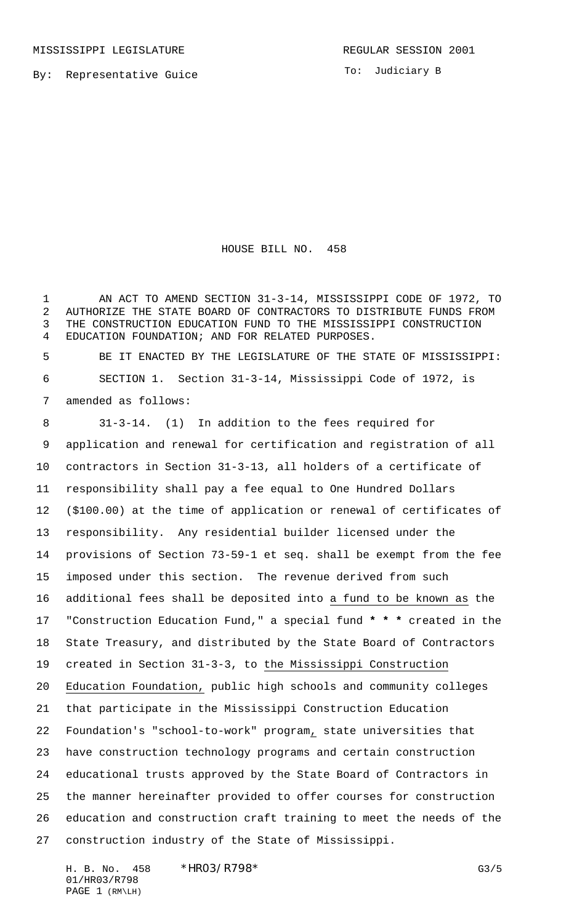MISSISSIPPI LEGISLATURE **REGULAR SESSION 2001** 

To: Judiciary B

HOUSE BILL NO. 458

 AN ACT TO AMEND SECTION 31-3-14, MISSISSIPPI CODE OF 1972, TO AUTHORIZE THE STATE BOARD OF CONTRACTORS TO DISTRIBUTE FUNDS FROM THE CONSTRUCTION EDUCATION FUND TO THE MISSISSIPPI CONSTRUCTION EDUCATION FOUNDATION; AND FOR RELATED PURPOSES.

 BE IT ENACTED BY THE LEGISLATURE OF THE STATE OF MISSISSIPPI: SECTION 1. Section 31-3-14, Mississippi Code of 1972, is amended as follows:

 31-3-14. (1) In addition to the fees required for application and renewal for certification and registration of all contractors in Section 31-3-13, all holders of a certificate of responsibility shall pay a fee equal to One Hundred Dollars (\$100.00) at the time of application or renewal of certificates of responsibility. Any residential builder licensed under the provisions of Section 73-59-1 et seq. shall be exempt from the fee imposed under this section. The revenue derived from such additional fees shall be deposited into a fund to be known as the "Construction Education Fund," a special fund **\* \* \*** created in the State Treasury, and distributed by the State Board of Contractors created in Section 31-3-3, to the Mississippi Construction Education Foundation, public high schools and community colleges that participate in the Mississippi Construction Education Foundation's "school-to-work" program, state universities that have construction technology programs and certain construction educational trusts approved by the State Board of Contractors in the manner hereinafter provided to offer courses for construction education and construction craft training to meet the needs of the construction industry of the State of Mississippi.

H. B. No. 458 \*HRO3/R798\* G3/5 01/HR03/R798 PAGE 1 (RM\LH)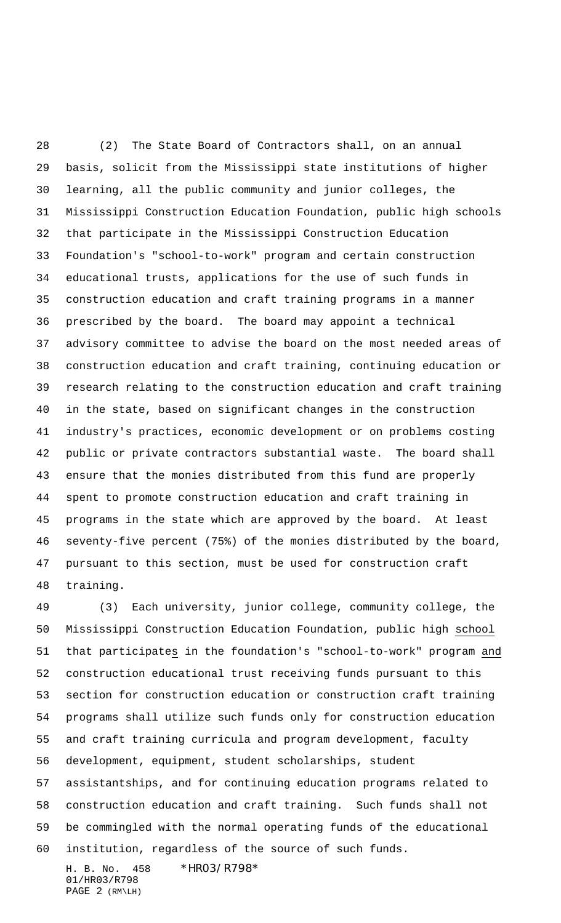(2) The State Board of Contractors shall, on an annual basis, solicit from the Mississippi state institutions of higher learning, all the public community and junior colleges, the Mississippi Construction Education Foundation, public high schools that participate in the Mississippi Construction Education Foundation's "school-to-work" program and certain construction educational trusts, applications for the use of such funds in construction education and craft training programs in a manner prescribed by the board. The board may appoint a technical advisory committee to advise the board on the most needed areas of construction education and craft training, continuing education or research relating to the construction education and craft training in the state, based on significant changes in the construction industry's practices, economic development or on problems costing public or private contractors substantial waste. The board shall ensure that the monies distributed from this fund are properly spent to promote construction education and craft training in programs in the state which are approved by the board. At least seventy-five percent (75%) of the monies distributed by the board, pursuant to this section, must be used for construction craft training.

 (3) Each university, junior college, community college, the Mississippi Construction Education Foundation, public high school that participates in the foundation's "school-to-work" program and construction educational trust receiving funds pursuant to this section for construction education or construction craft training programs shall utilize such funds only for construction education and craft training curricula and program development, faculty development, equipment, student scholarships, student assistantships, and for continuing education programs related to construction education and craft training. Such funds shall not be commingled with the normal operating funds of the educational institution, regardless of the source of such funds.

H. B. No. 458 \*HR03/R798\* 01/HR03/R798 PAGE 2 (RM\LH)